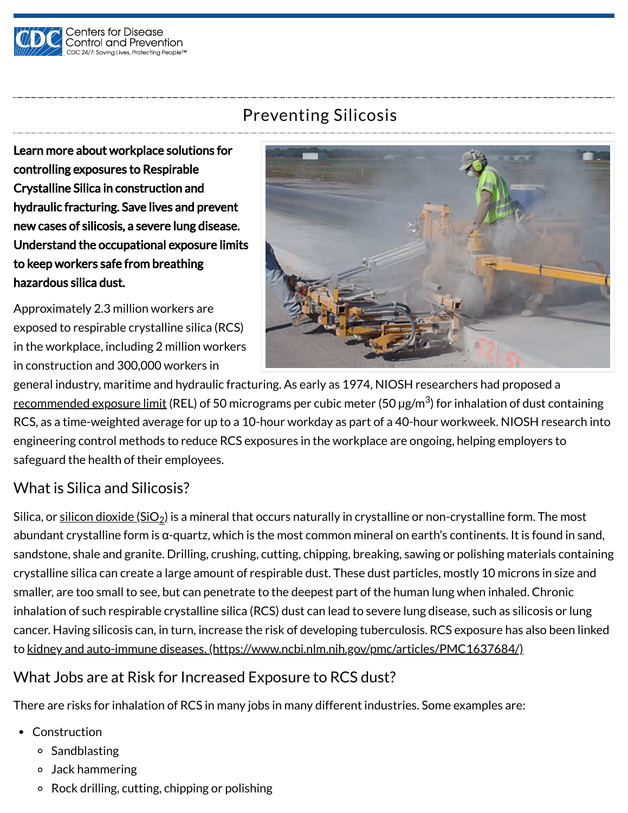

# Preventing Silicosis

Learn more about workplace solutions for controlling exposures to Respirable Crystalline Silica in construction and hydraulic fracturing. Save lives and prevent new cases of silicosis, a severe lung disease. Understand the occupational exposure limits to keep workers safe from breathing hazardous silica dust.

Approximately 2.3 million workers are exposed to respirable crystalline silica (RCS) in the workplace, including 2 million workers in construction and 300,000 workers in



general industry, maritime and hydraulic fracturing. As early as 1974, NIOSH researchers had proposed a <u>[recommended exposure limit](https://www.cdc.gov/niosh/docs/1970/75-120.html)</u> (REL) of 50 micrograms per cubic meter (50 μg/m<sup>3</sup>) for inhalation of dust containing RCS, as a time-weighted average for up to a 10-hour workday as part of a 40-hour workweek. NIOSH research into engineering control methods to reduce RCS exposures in the workplace are ongoing, helping employers to safeguard the health of their employees.

# What is Silica and Silicosis?

Silica, or <u>silicon dioxide (SiO<sub>2</sub>)</u> is a mineral that occurs naturally in crystalline or non-crystalline form. The most abundant crystalline form is α-quartz, which is the most common mineral on earth's continents. It is found in sand, sandstone, shale and granite. Drilling, crushing, cutting, chipping, breaking, sawing or polishing materials containing crystalline silica can create a large amount of respirable dust. These dust particles, mostly 10 microns in size and smaller, are too small to see, but can penetrate to the deepest part of the human lung when inhaled. Chronic inhalation of such respirable crystalline silica (RCS) dust can lead to severe lung disease, such as silicosis or lung cancer. Having silicosis can, in turn, increase the risk of developing tuberculosis. RCS exposure has also been linked to [kidney and auto-immune diseases. \(https://www.ncbi.nlm.nih.gov/pmc/articles/PMC1637684/\)](https://www.ncbi.nlm.nih.gov/pmc/articles/PMC1637684/)

### What Jobs are at Risk for Increased Exposure to RCS dust?

There are risks for inhalation of RCS in many jobs in many different industries. Some examples are:

- Construction
	- <sup>o</sup> Sandblasting
	- Jack hammering
	- Rock drilling, cutting, chipping or polishing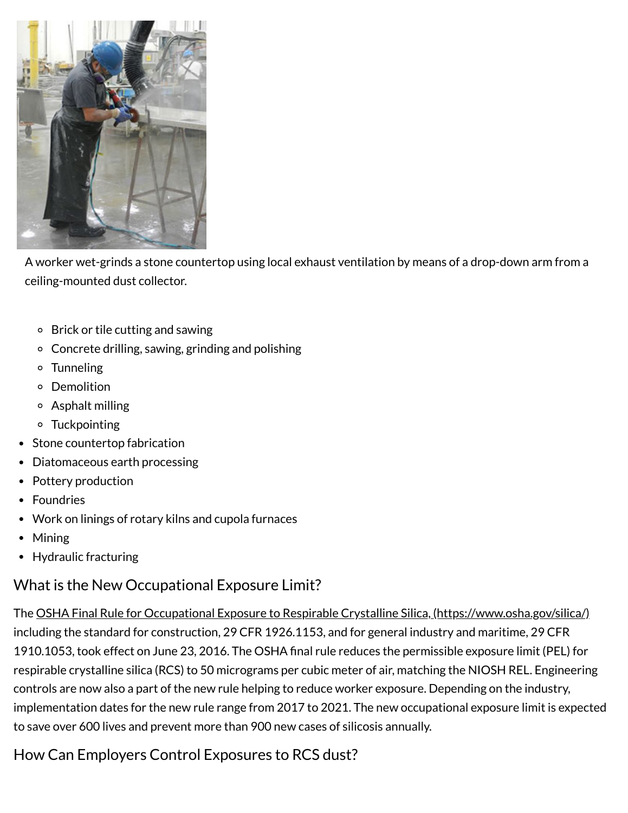

A worker wet-grinds a stone countertop using local exhaust ventilation by means of a drop-down arm from a ceiling-mounted dust collector.

- Brick or tile cutting and sawing
- Concrete drilling, sawing, grinding and polishing
- Tunneling
- Demolition
- Asphalt milling
- Tuckpointing
- Stone countertop fabrication
- Diatomaceous earth processing
- Pottery production
- Foundries
- Work on linings of rotary kilns and cupola furnaces
- Mining
- Hydraulic fracturing

### What is the New Occupational Exposure Limit?

The [OSHA Final Rule for Occupational Exposure to Respirable Crystalline Silica, \(https://www.osha.gov/silica/\)](https://www.osha.gov/silica/) including the standard for construction, 29 CFR 1926.1153, and for general industry and maritime, 29 CFR 1910.1053, took effect on June 23, 2016. The OSHA final rule reduces the permissible exposure limit (PEL) for respirable crystalline silica (RCS) to 50 micrograms per cubic meter of air, matching the NIOSH REL. Engineering controls are now also a part of the new rule helping to reduce worker exposure. Depending on the industry, implementation dates for the new rule range from 2017 to 2021. The new occupational exposure limit is expected to save over 600 lives and prevent more than 900 new cases of silicosis annually.

# How Can Employers Control Exposures to RCS dust?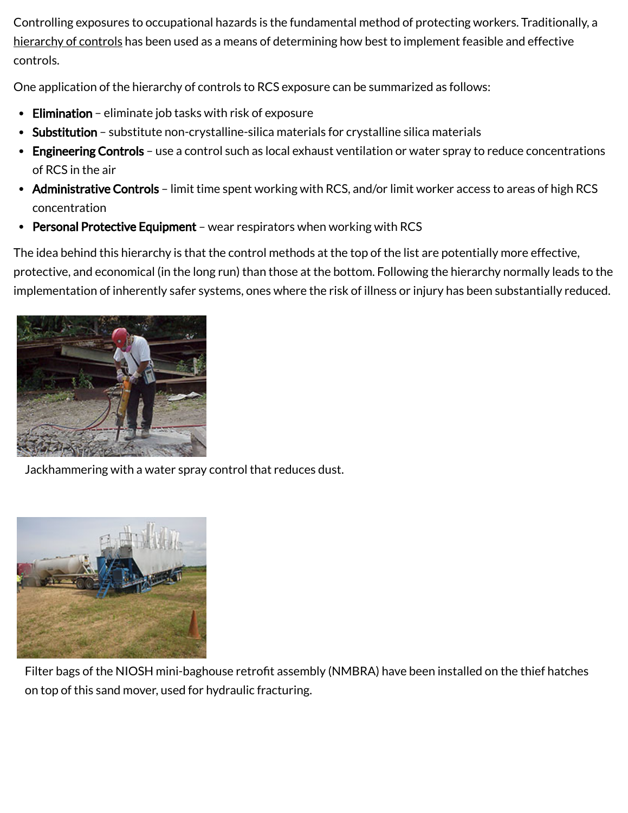Controlling exposures to occupational hazards is the fundamental method of protecting workers. Traditionally, a [hierarchy of controls](https://www.cdc.gov/niosh/topics/hierarchy/) has been used as a means of determining how best to implement feasible and effective controls.

One application of the hierarchy of controls to RCS exposure can be summarized as follows:

- Elimination eliminate job tasks with risk of exposure
- Substitution substitute non-crystalline-silica materials for crystalline silica materials
- Engineering Controls use a control such as local exhaust ventilation or water spray to reduce concentrations of RCS in the air
- Administrative Controls limit time spent working with RCS, and/or limit worker access to areas of high RCS concentration
- Personal Protective Equipment wear respirators when working with RCS

The idea behind this hierarchy is that the control methods at the top of the list are potentially more effective, protective, and economical (in the long run) than those at the bottom. Following the hierarchy normally leads to the implementation of inherently safer systems, ones where the risk of illness or injury has been substantially reduced.



Jackhammering with a water spray control that reduces dust.



Filter bags of the NIOSH mini-baghouse retrofit assembly (NMBRA) have been installed on the thief hatches on top of this sand mover, used for hydraulic fracturing.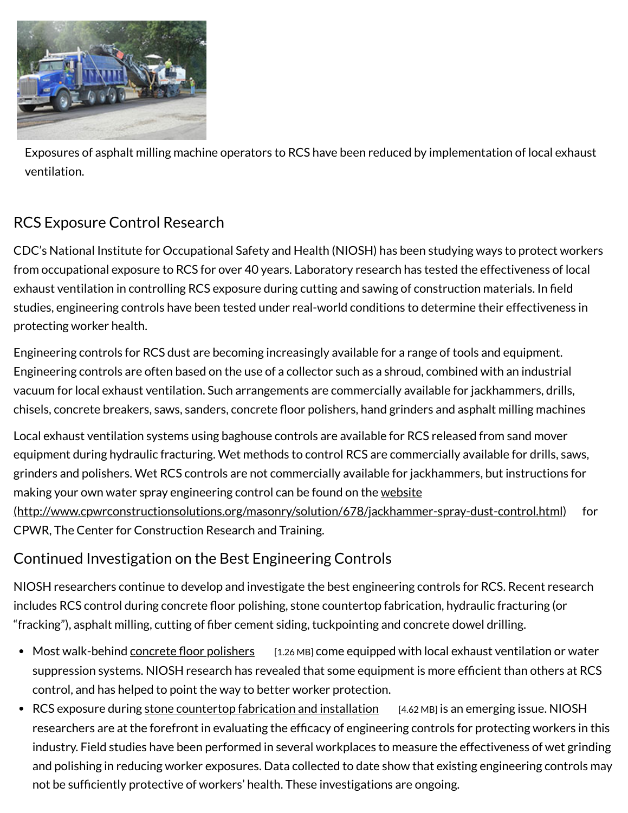

Exposures of asphalt milling machine operators to RCS have been reduced by implementation of local exhaust ventilation.

# RCS Exposure Control Research

CDC's National Institute for Occupational Safety and Health (NIOSH) has been studying ways to protect workers from occupational exposure to RCS for over 40 years. Laboratory research has tested the effectiveness of local exhaust ventilation in controlling RCS exposure during cutting and sawing of construction materials. In field studies, engineering controls have been tested under real-world conditions to determine their effectiveness in protecting worker health.

Engineering controls for RCS dust are becoming increasingly available for a range of tools and equipment. Engineering controls are often based on the use of a collector such as a shroud, combined with an industrial vacuum for local exhaust ventilation. Such arrangements are commercially available for jackhammers, drills, chisels, concrete breakers, saws, sanders, concrete floor polishers, hand grinders and asphalt milling machines

Local exhaust ventilation systems using baghouse controls are available for RCS released from sand mover equipment during hydraulic fracturing. Wet methods to control RCS are commercially available for drills, saws, grinders and polishers. Wet RCS controls are not commercially available for jackhammers, but instructions for making your own water spray engineering control can be found on the website [\(http://www.cpwrconstructionsolutions.org/masonry/solution/678/jackhammer-spray-dust-control.html\)](http://www.cpwrconstructionsolutions.org/masonry/solution/678/jackhammer-spray-dust-control.html) for CPWR, The Center for Construction Research and Training.

## Continued Investigation on the Best Engineering Controls

NIOSH researchers continue to develop and investigate the best engineering controls for RCS. Recent research includes RCS control during concrete floor polishing, stone countertop fabrication, hydraulic fracturing (or "fracking"), asphalt milling, cutting of fiber cement siding, tuckpointing and concrete dowel drilling.

- Most walk-behind [concrete floor polishers](https://www.cdc.gov/niosh/surveyreports/pdfs/368-13a.pdf) [1.26 MB] come equipped with local exhaust ventilation or water suppression systems. NIOSH research has revealed that some equipment is more efficient than others at RCS control, and has helped to point the way to better worker protection.
- RCS exposure during [stone countertop fabrication and installation](https://www.cdc.gov/niosh/surveyreports/pdfs/375-11a.pdf) [4.62 MB] is an emerging issue. NIOSH researchers are at the forefront in evaluating the efficacy of engineering controls for protecting workers in this industry. Field studies have been performed in several workplaces to measure the effectiveness of wet grinding and polishing in reducing worker exposures. Data collected to date show that existing engineering controls may not be sufficiently protective of workers' health. These investigations are ongoing.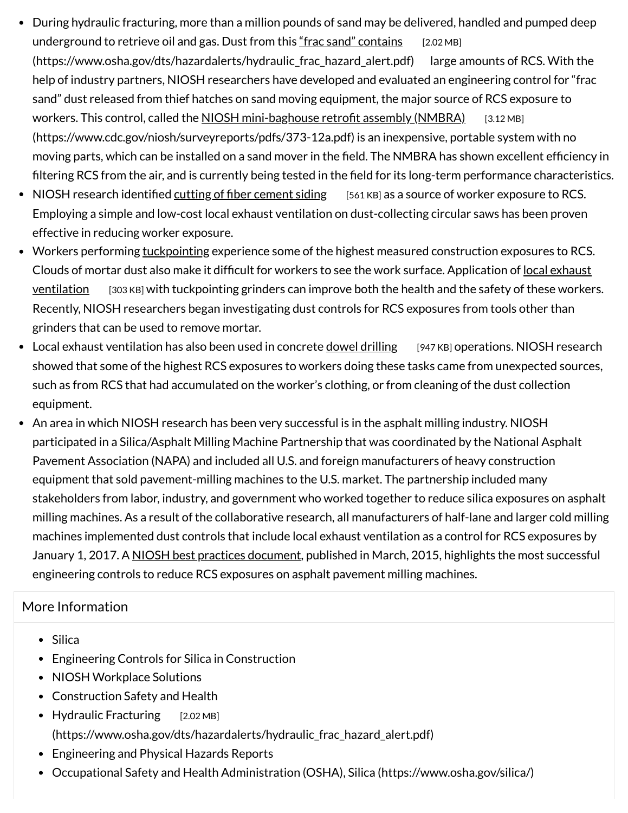- During hydraulic fracturing, more than a million pounds of sand may be delivered, handled and pumped deep underground to retrieve oil and gas. Dust from this "frac sand" contains [2.02 MB] [\(https://www.osha.gov/dts/hazardalerts/hydraulic\\_frac\\_hazard\\_alert.pdf\) large a](https://www.osha.gov/dts/hazardalerts/hydraulic_frac_hazard_alert.pdf)mounts of RCS. With the help of industry partners, NIOSH researchers have developed and evaluated an engineering control for "frac sand" dust released from thief hatches on sand moving equipment, the major source of RCS exposure to workers. This control, called the NIOSH mini-baghouse retrofit assembly (NMBRA) [3.12 MB] [\(https://www.cdc.gov/niosh/surveyreports/pdfs/373-12a.pdf\) is an inexpensive, portable syste](https://www.cdc.gov/niosh/surveyreports/pdfs/373-12a.pdf)m with no moving parts, which can be installed on a sand mover in the field. The NMBRA has shown excellent efficiency in filtering RCS from the air, and is currently being tested in the field for its long-term performance characteristics.
- NIOSH research identified [cutting of fiber cement siding](https://www.cdc.gov/niosh/docs/wp-solutions/2015-185/pdfs/2015-185.pdf) [561 KB] as a source of worker exposure to RCS. Employing a simple and low-cost local exhaust ventilation on dust-collecting circular saws has been proven effective in reducing worker exposure.
- Workers performing [tuckpointing](https://www.cdc.gov/niosh/topics/silica/tuckpointing.html) experience some of the highest measured construction exposures to RCS. [Clouds of mortar dust also make it difficult for workers to see the work surface. Application of local exhaust](https://www.cdc.gov/niosh/docs/wp-solutions/2008-126/pdfs/2008-126.pdf) yentilation [303 KB] with tuckpointing grinders can improve both the health and the safety of these workers. Recently, NIOSH researchers began investigating dust controls for RCS exposures from tools other than grinders that can be used to remove mortar.
- Local exhaust ventilation has also been used in concrete [dowel drilling](https://www.cdc.gov/niosh/docs/wp-solutions/2015-200/pdfs/2015-200.pdf) [947 KB] operations. NIOSH research showed that some of the highest RCS exposures to workers doing these tasks came from unexpected sources, such as from RCS that had accumulated on the worker's clothing, or from cleaning of the dust collection equipment.
- An area in which NIOSH research has been very successful is in the asphalt milling industry. NIOSH participated in a Silica/Asphalt Milling Machine Partnership that was coordinated by the National Asphalt Pavement Association (NAPA) and included all U.S. and foreign manufacturers of heavy construction equipment that sold pavement-milling machines to the U.S. market. The partnership included many stakeholders from labor, industry, and government who worked together to reduce silica exposures on asphalt milling machines. As a result of the collaborative research, all manufacturers of half-lane and larger cold milling machines implemented dust controls that include local exhaust ventilation as a control for RCS exposures by January 1, 2017. A [NIOSH best practices document](https://www.cdc.gov/niosh/docs/2015-105/), published in March, 2015, highlights the most successful engineering controls to reduce RCS exposures on asphalt pavement milling machines.

### More Information

- [Silica](https://www.cdc.gov/niosh/topics/silica/default.html)
- [Engineering Controls for Silica in Construction](https://www.cdc.gov/niosh/topics/silica/constructioncontrolmain.html)
- [NIOSH Workplace Solutions](https://www.cdc.gov/niosh/pubs/workplace_date_desc.html)
- [Construction Safety and Health](https://www.cdc.gov/niosh/construction/ncc.html)
- Hydraulic Fracturing [2.02 MB] [\(https://www.osha.gov/dts/hazardalerts/hydraulic\\_frac\\_hazard\\_alert.pdf\)](https://www.osha.gov/dts/hazardalerts/hydraulic_frac_hazard_alert.pdf)
- [Engineering and Physical Hazards Reports](https://www.cdc.gov/niosh/surveyreports/)
- [Occupational Safety and Health Administration \(OSHA\), Silica \(https://www.osha.gov/silica/\)](https://www.osha.gov/silica/)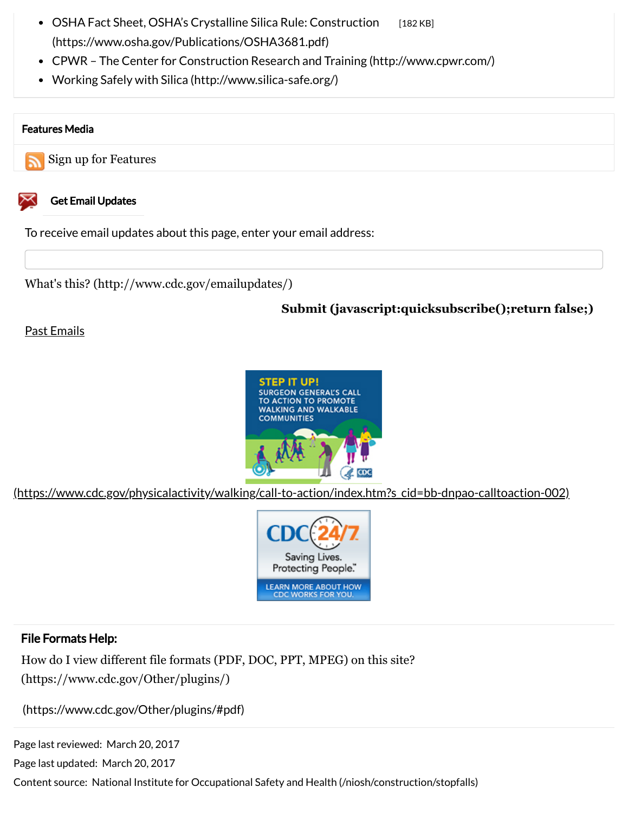- [OSHA Fact Sheet, OSHA's Crystalline Silica Rule: Construction](https://www.osha.gov/Publications/OSHA3681.pdf) [182 KB] (https://www.osha.gov/Publications/OSHA3681.pdf)
- [CPWR The Center for Construction Research and Training \(http://www.cpwr.com/\)](http://www.cpwr.com/)
- [Working Safely with Silica \(http://www.silica-safe.org/\)](http://www.silica-safe.org/)

#### Features Media

[Sign up for Features](https://www.cdc.gov/features/featurerss.html)



#### Get Email Updates

To receive email updates about this page, enter your email address:

[What's this? \(http://www.cdc.gov/emailupdates/\)](http://www.cdc.gov/emailupdates/)

### **[Submit \(javascript:quicksubscribe\(\);return false;\)](javascript:quicksubscribe();return false;)**

#### [Past Emails](https://www.cdc.gov/features/features-archive.html)



[\(https://www.cdc.gov/physicalactivity/walking/call-to-action/index.htm?s\\_cid=bb-dnpao-calltoaction-002\)](https://www.cdc.gov/physicalactivity/walking/call-to-action/index.htm?s_cid=bb-dnpao-calltoaction-002)



#### File Formats Help:

[How do I view different file formats \(PDF, DOC, PPT, MPEG\) on this site?](https://www.cdc.gov/Other/plugins/) (https://www.cdc.gov/Other/plugins/)

[\(https://www.cdc.gov/Other/plugins/#pdf\)](https://www.cdc.gov/Other/plugins/#pdf)

Page last reviewed: March 20, 2017

Page last updated: March 20, 2017

Content source: [National Institute for Occupational Safety and Health \(/niosh/construction/stopfalls\)](https://www.cdc.gov/niosh/construction/stopfalls)